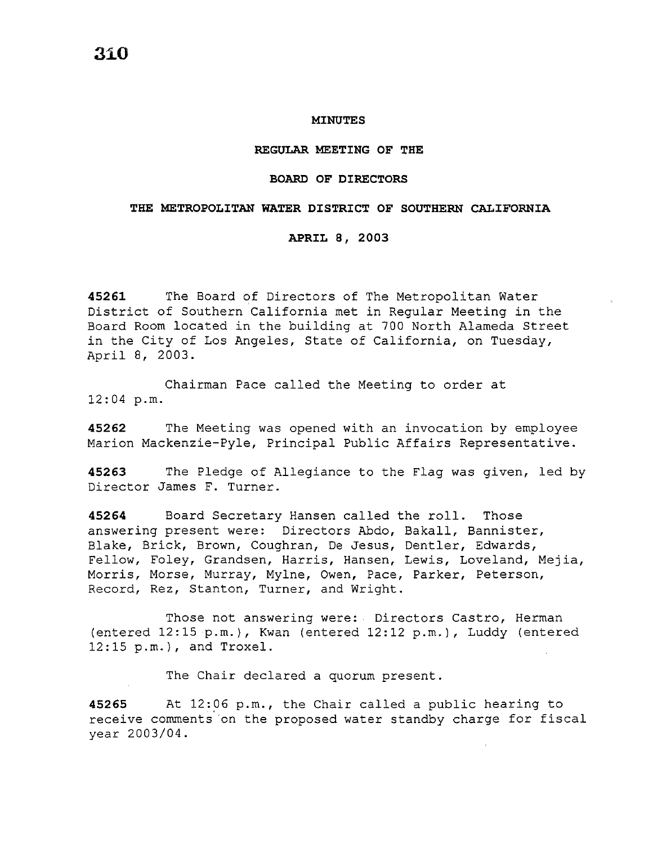#### **MINUTES**

### **REGULAR MEETING OF THE**

## **BOARD OF DIRECTORS**

## **THE METROPOLITAN WATER DISTRICT OF SOUTHERN CALIFORNIA**

### **APRIL 8, 2003**

**45261** The Board of Directors of The Metropolitan Water District of Southern California met in Regular Meeting in the Board Room located in the building at 700 North Alameda Street in the City of Los Angeles, State of California, on Tuesday, April 8, 2003.

Chairman Pace called the Meeting to order at 12:04 p.m.

**45262** The Meeting was opened with an invocation by employee Marion Mackenzie-Pyle, Principal Public Affairs Representative.

**45263** The Pledge of Allegiance to the Flag was given, led by Director James F. Turner.

**<sup>45264</sup>**Board Secretary Hansen called the roll. Those answering present were: Directors Abdo, Bakall, Bannister, Blake, Brick, Brown, Coughran, De Jesus, Dentler, Edwards, Fellow, Foley, Grandsen, Harris, Hansen, Lewis, Loveland, Mejia, Morris, Morse, Murray, Mylne, Owen, Pace, Parker, Peterson, Record, Rez, Stanton, Turner, and Wright.

Those not answering were: Directors Castro, Herman (entered 12:15 p.m.), Kwan (entered 12:12 p.m.), Luddy (entered 12:15 p.m.), and Troxel.

The Chair declared a quorum present.

45265 At 12:06 p.m., the Chair called a public hearing to receive comments on the proposed water standby charge for fiscal year 2003/04.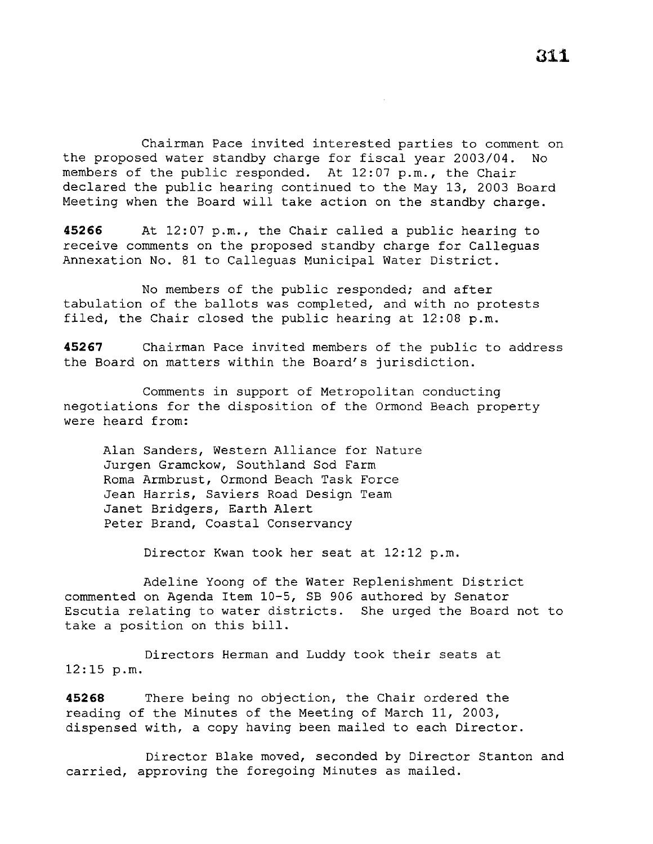Chairman Pace invited interested parties to comment on the proposed water standby charge for fiscal year 2003/04. No members of the public responded. At 12:07 p.m., the Chair declared the public hearing continued to the May 13, 2003 Board Meeting when the Board will take action on the standby charge.

**45266** At 12:07 p.m., the Chair called a public hearing to receive comments on the proposed standby charge for Calleguas Annexation No. 81 to Calleguas Municipal Water District.

No members of the public responded; and after tabulation of the ballots was completed, and with no protests filed, the Chair closed the public hearing at 12:08 p.m.

**45267** Chairman Pace invited members of the public to address the Board on matters within the Board's jurisdiction.

Comments in support of Metropolitan conducting negotiations for the disposition of the Ormond Beach property were heard from:

Alan Sanders, Western Alliance for Nature Jurgen Gramckow, Southland Sod Farm Roma Armbrust, Ormond Beach Task Force Jean Harris, Saviers Road Design Team Janet Bridgers, Earth Alert Peter Brand, Coastal Conservancy

Director Kwan took her seat at 12:12 p.m.

Adeline Yoong of the Water Replenishment District commented on Agenda Item 10-5, SB 906 authored by Senator Escutia relating to water districts. She urged the Board not to take a position on this bill.

Directors Herman and Luddy took their seats at 12:15 p.m.

**45268** There being no objection, the Chair ordered the reading of the Minutes of the Meeting of March 11, 2003, dispensed with, a copy having been mailed to each Director.

Director Blake moved, seconded by Director Stanton and carried, approving the foregoing Minutes as mailed.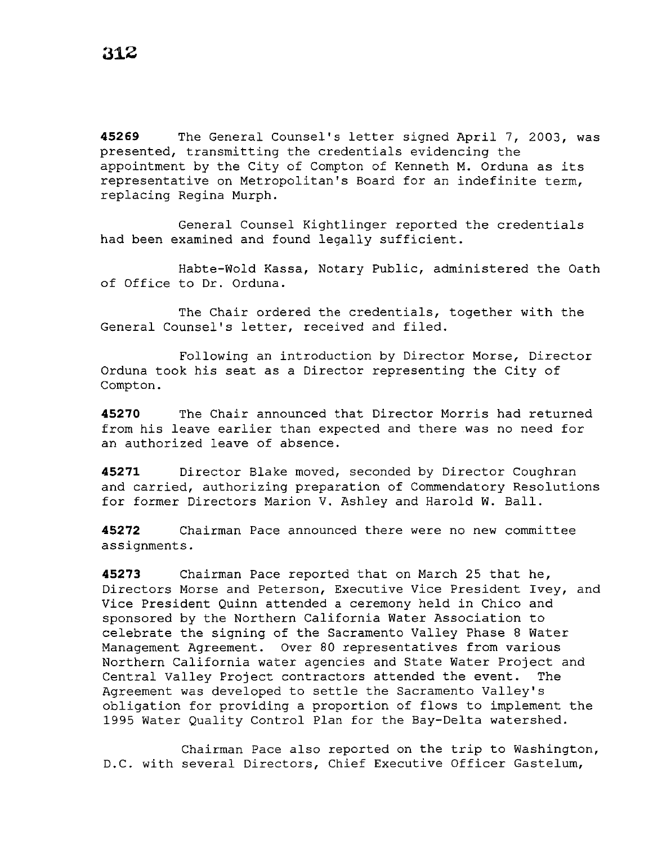**45269** The General Counsel's letter signed April 7, 2003, was presented, transmitting the credentials evidencing the appointment by the City of Compton of Kenneth M. Orduna as its representative on Metropolitan's Board for an indefinite term, replacing Regina Murph.

General Counsel Kightlinger reported the credentials had been examined and found legally sufficient.

Habte-Wold Kassa, Notary Public, administered the Oath of Office to Dr. Orduna.

The Chair ordered the credentials, together with the General Counsel's letter, received and filed.

Following an introduction by Director Morse, Director Orduna took his seat as a Director representing the City of Compton.

**45270** The Chair announced that Director Morris had returned from his leave earlier than expected and there .was no need for an authorized leave of absence.

**45271** Director Blake moved, seconded by Director Coughran and carried, authorizing preparation of Commendatory Resolutions for former Directors Marion V. Ashley and Harold W. Ball.

**45272** Chairman Pace announced there were no new committee assignments.

**45273** Chairman Pace reported that on March 25 that he, Directors Morse and Peterson, Executive Vice President Ivey, and Vice President Quinn attended a ceremony held in Chico and sponsored by the Northern California Water Association to celebrate the signing of the Sacramento Valley Phase 8 Water Management Agreement. Over 80 representatives from various Northern California water agencies and State Water Project and Central Valley Project contractors attended the event. The Agreement was developed to settle the Sacramento Valley's obligation for providing a proportion of flows to implement the 1995 Water Quality Control Plan for the Bay-Delta watershed.

Chairman Pace also reported on the trip to Washington, D.C. with several Directors, Chief Executive Officer Gastelum,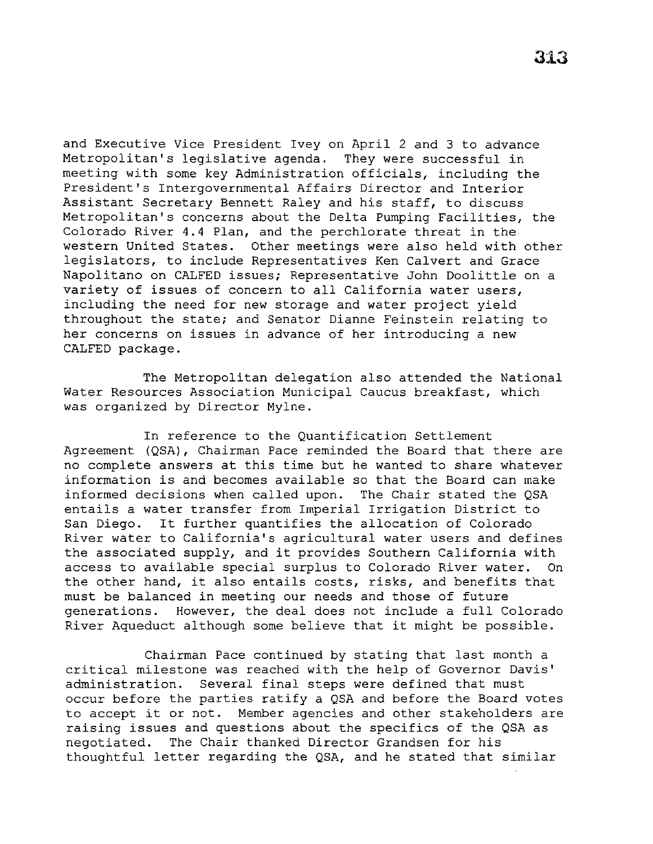and Executive Vice President Ivey on April 2 and 3 to advance Metropolitan's legislative agenda. They were successful in meeting with some key Administration officials, including the President's Intergovernmental Affairs Director and Interior Assistant Secretary Bennett Raley and his staff, to discuss Metropolitan's concerns about the Delta Pumping Facilities, the Colorado River 4.4 Plan, and the perchlorate threat in the western United States. Other meetings were also held with other legislators, to include Representatives Ken Calvert and Grace Napolitano on CALFED issues; Representative John Doolittle on a variety of issues of concern to all California water users, including the need for new storage and water project yield throughout the state; and Senator Dianne Feinstein relating to her concerns on issues in advance of her introducing a new CALFED package.

The Metropolitan delegation also attended the National Water Resources Association Municipal Caucus breakfast, which was organized by Director Mylne.

In reference to the Quantification Settlement Agreement (QSA), Chairman Pace reminded the Board that there are no complete answers at this time but he wanted to share whatever information is and becomes available so that the Board can make informed decisions when called upon. The Chair stated the QSA entails a water transfer from Imperial Irrigation District to San Diego. It further quantifies the allocation of Colorado River water to California's agricultural water users and defines the associated supply, and it provides Southern California with access to available special surplus to Colorado River water. On the other hand, it also entails costs, risks, and benefits that must be balanced in meeting our needs and those of future generations. However, the deal does not include a full Colorado River Aqueduct although some believe that it might be possible.

Chairman Pace continued by stating that last month a critical milestone was reached with the help of Governor Davis' administration. Several final steps were defined that must occur before the parties ratify a QSA and before the Board votes to accept it or not. Member agencies and other stakeholders are raising issues and questions about the specifics of the QSA as negotiated. The Chair thanked Director Grandsen for his thoughtful letter regarding the QSA, and he stated that similar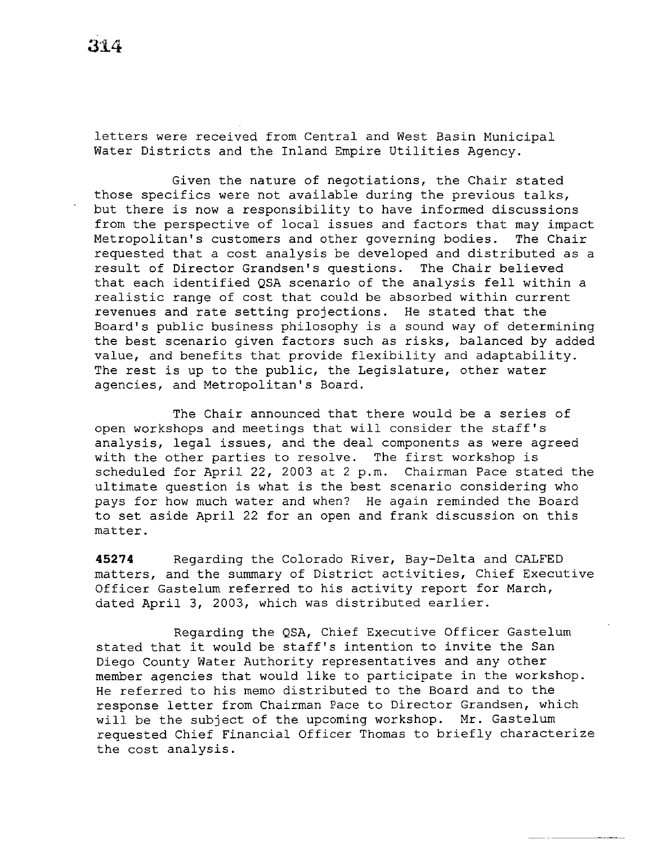letters were received from Central and West Basin Municipal Water Districts and the Inland Empire Utilities Agency.

Given the nature of negotiations, the Chair stated those specifics were not available during the previous talks, but there is now a responsibility to have informed discussions from the perspective of local issues and factors that may impact Metropolitan's customers and other governing bodies. The Chair requested that a cost analysis be developed and distributed as a result of Director Grandsen's questions. The Chair believed that each identified QSA scenario of the analysis fell within a realistic range of cost that could be absorbed within current revenues and rate setting projections. He stated that the Board's public business philosophy is a sound way of determining the best scenario given factors such as risks, balanced by added value, and benefits that provide flexibility and adaptability. The rest is up to the public, the Legislature, other water agencies, and Metropolitan's Board.

The Chair announced that there would be a series of open workshops and meetings that will consider the staff's analysis, legal issues, and the deal components as were agreed with the other parties to resolve. The first workshop is scheduled for April 22, 2003 at 2 p.m. Chairman Pace stated the ultimate question is what is the best scenario considering who pays for how much water and when? He again reminded the Board to set aside April 22 for an open and frank discussion on this matter.

**45274** Regarding the Colorado River, Bay-Delta and CALFED matters, and the summary of District activities, Chief Executive Officer Gastelum referred to his activity report for March, dated April 3, 2003, which was distributed earlier.

Regarding the QSA, Chief Executive Officer Gastelum stated that it would be staff's intention to invite the San Diego County Water Authority representatives and any other member agencies that would like to participate in the workshop. He referred to his memo distributed to the Board and to the response letter from Chairman Pace to Director Grandsen, which will be the subject of the upcoming workshop. Mr. Gastelum requested Chief Financial Officer Thomas to briefly characterize the cost analysis.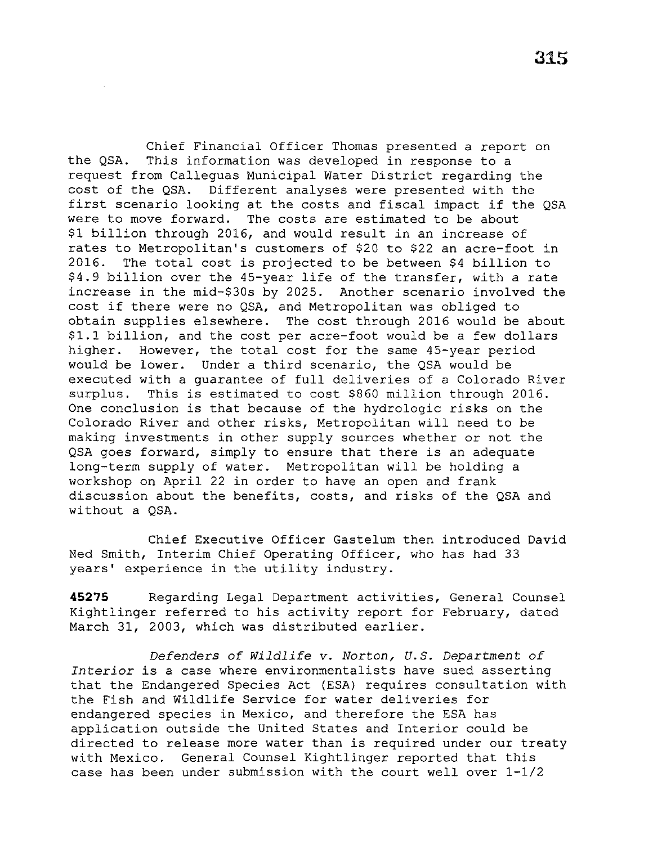Chief Financial Officer Thomas presented a report on the QSA. This information was developed in response to a request from Calleguas Municipal Water District regarding the cost of the QSA. Different analyses were presented with the first scenario looking at the costs and fiscal impact if the QSA were to move forward. The costs are estimated to be about \$1 billion through 2016, and would result in an increase of rates to Metropolitan's customers of \$20 to \$22 an acre-foot in 2016. The total cost is projected to be between \$4 billion to \$4.9 billion over the 45-year life of the transfer, with a rate increase in the mid-\$30s by 2025. Another scenario involved the cost if there were no QSA, and Metropolitan was obliged to obtain supplies elsewhere. The cost through 2016 would be about \$1.1 billion, and the cost per acre-foot would be a few dollars higher. However, the total cost for the same 45-year period would be lower. Under a third scenario, the QSA would be executed with a guarantee of full deliveries of a Colorado River surplus. This is estimated to cost \$860 million through 2016. One conclusion is that because of the hydrologic risks on the Colorado River and other risks, Metropolitan will need to be making investments in other supply sources whether or not the QSA goes forward, simply to ensure that there is an adequate long-term supply of water. Metropolitan will be holding a workshop on April 22 in order to have an open and frank discussion about the benefits, costs, and risks of the QSA and without a QSA.

Chief Executive Officer Gastelum then introduced David Ned Smith, Interim Chief Operating Officer, who has had 33 years' experience in the utility industry.

**45275** Regarding Legal Department activities, General Counsel Kightlinger referred to his activity report for February, dated March 31, 2003, which was distributed earlier.

*Defenders of Wildlife v. Norton, U.S. Department of Interior is a* case where environmentalists have sued asserting that the Endangered Species Act (ESA) requires consultation with the Fish and Wildlife Service for water deliveries for endangered species in Mexico, and therefore the ESA has application outside the United States and Interior could be directed to release more water than is required under our treaty with Mexico. General Counsel Kightlinger reported that this case has been under submission with the court well over 1-1/2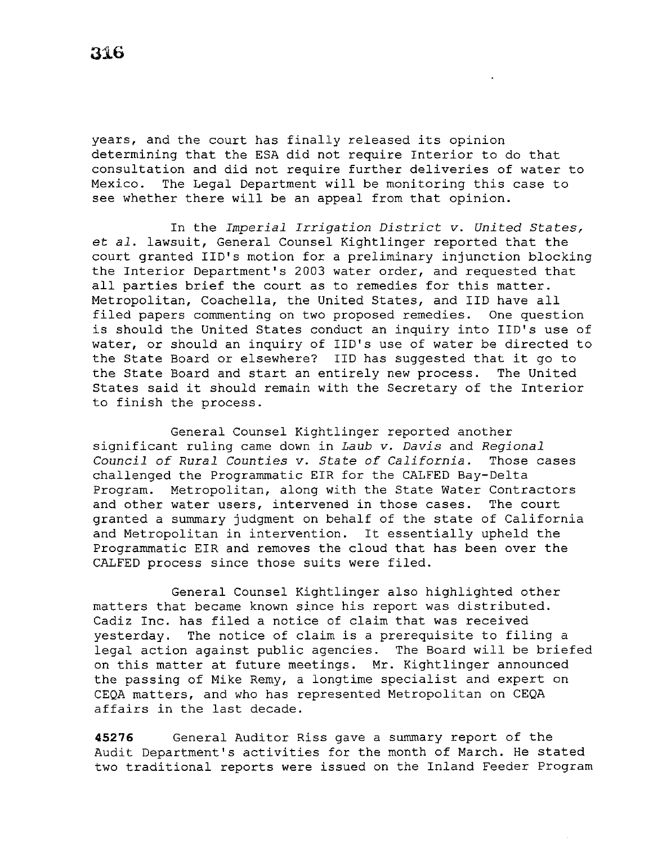years, and the court has finally released its opinion determining that the ESA did not require Interior to do that consultation and did not require further deliveries of water to Mexico. The Legal Department will be monitoring this case to see whether there will be an appeal from that opinion.

In the *Imperial Irrigation District v. United States, et al.* lawsuit, General Counsel Kightlinger reported that the court granted IID's motion for a preliminary injunction blocking the Interior Department's 2003 water order, and requested that all parties brief the court as to remedies for this matter. Metropolitan, Coachella, the United States, and IID have all filed papers commenting on two proposed remedies. One question is should the United States conduct an inquiry into IID's use of water, or should an inquiry of IID's use of water be directed to the State Board or elsewhere? IID has suggested that it go to the State Board and start an entirely new process. The United States said it should remain with the Secretary of the Interior to finish the process.

General Counsel Kightlinger reported another significant ruling came down in *Laub v. Davis* and *Regional Council of Rural Counties v. State of California.* Those cases challenged the Programmatic EIR for the CALFED Bay-Delta Program. Metropolitan, along with the State Water Contractors and other water users, intervened *in* those cases. The court granted a summary judgment on behalf of the state of California and Metropolitan *in* intervention. It essentially upheld the Programmatic EIR and removes the cloud that has been over the CALFED process since those suits were filed.

General Counsel Kightlinger also highlighted other matters that became known since his report was distributed. Cadiz Inc. has filed a notice of claim that was received yesterday. The notice of claim is a prerequisite to filing a legal action against public agencies. The Board will be briefed on this matter at future meetings. Mr. Kightlinger announced the passing of Mike Remy, a longtime specialist and expert on CEQA matters, and who has represented Metropolitan on CEQA affairs in the last decade.

**45276** General Auditor Riss gave a summary report of the Audit Department's activities for the month of March. He stated two traditional reports were issued on the Inland Feeder Program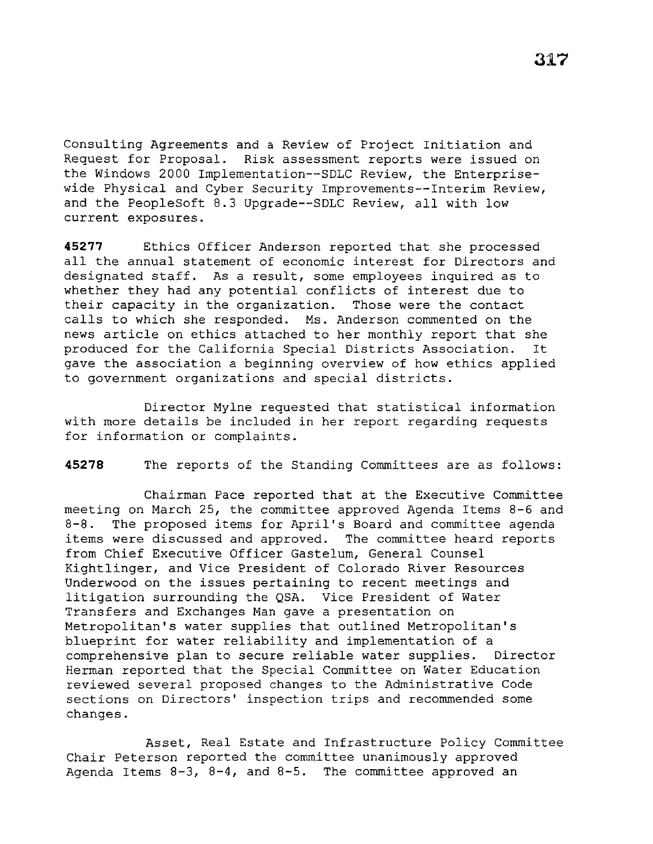Consulting Agreements and a Review of Project Initiation and Request for Proposal. Risk assessment reports were issued on the Windows 2000 Implementation--SDLC Review, the Enterprisewide Physical and Cyber Security Improvements--Interim Review, and the PeopleSoft 8.3 Upgrade--SDLC Review, all with low current exposures.

**45277** Ethics Officer Anderson reported that she processed all the annual statement of economic interest for Directors and designated staff. As a result, some employees inquired as to whether they had any potential conflicts of interest due to their capacity in the organization. Those were the contact calls to which she responded. Ms. Anderson commented on the news article on ethics attached to her monthly report that she produced for the California Special Districts Association. It gave the association a beginning overview of how ethics applied to government organizations and special districts.

Director Mylne requested that statistical information with more details be included in her report regarding requests for information or complaints.

**45278** The reports of the Standing Committees are as follows:

Chairman Pace reported that at the Executive Committee meeting on March 25, the committee approved Agenda Items 8-6 and 8-8. The proposed items for April's Board and committee agenda items were discussed and approved. The committee heard reports from Chief Executive Officer Gastelum, General Counsel Kightlinger, and Vice President of Colorado River Resources Underwood on the issues pertaining to recent meetings and litigation surrounding the QSA. Vice President of Water Transfers and Exchanges Man gave a presentation on Metropolitan's water supplies that outlined Metropolitan's blueprint for water reliability and implementation of a comprehensive plan to secure reliable water supplies. Director Herman reported that the Special Committee on Water Education reviewed several proposed changes to the Administrative Code sections on Directors' inspection trips and recommended some changes.

Asset, Real Estate and Infrastructure Policy Committee Chair Peterson reported the committee unanimously approved Agenda Items  $8-3$ ,  $8-4$ , and  $8-5$ . The committee approved an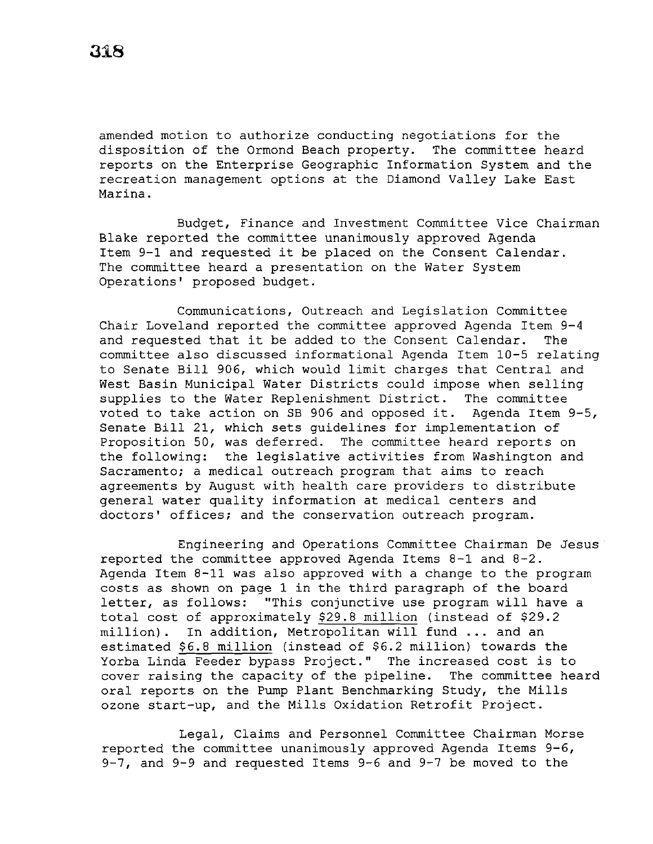amended motion to authorize conducting negotiations for the disposition of the Ormond Beach property. The committee heard reports on the Enterprise Geographic Information System and the recreation management options at the Diamond Valley Lake East Marina.

Budget, Finance and Investment Committee Vice Chairman Blake reported the committee unanimously approved Agenda Item 9-1 and requested it be placed on the Consent Calendar. The committee heard a presentation on the Water System Operations' proposed budget.

Communications, Outreach and Legislation Committee Chair Loveland reported the committee approved Agenda Item 9-4 and requested that it be added to the Consent Calendar. The committee also discussed informational Agenda Item 10-5 relating to Senate Bill 906, which would limit charges that Central and West Basin Municipal Water Districts could impose when selling<br>supplies to the Water Replenishment District. The committee supplies to the Water Replenishment District. voted to take action on SB 906 and opposed it. Agenda Item 9-5, Senate Bill 21, which sets guidelines for implementation of Proposition 50, was deferred. The committee heard reports on the following: the legislative activities from Washington and Sacramento; a medical outreach program that aims to reach agreements by August with health care providers to distribute general water quality information at medical centers and doctors' offices; and the conservation outreach program.

Engineering and Operations Committee Chairman De Jesus reported the committee approved Agenda Items 8-1 and 8-2. Agenda Item 8-11 was also approved with a change to the program costs as shown on page 1 in the third paragraph of the board letter, as follows: "This conjunctive use program will have a total cost of approximately \$29.8 million (instead of \$29.2 million). In addition, Metropolitan will fund ... and an estimated \$6.8 million (instead of \$6.2 million) towards the Yorba Linda Feeder bypass Project." The increased cost is to cover raising the capacity of the pipeline. The committee heard oral reports on the Pump Plant Benchmarking Study, the Mills ozone start-up, and the Mills Oxidation Retrofit Project.

Legal, Claims and Personnel Committee Chairman Morse reported the committee unanimously approved Agenda Items 9-6, 9-7, and 9-9 and requested Items 9-6 and 9-7 be moved to the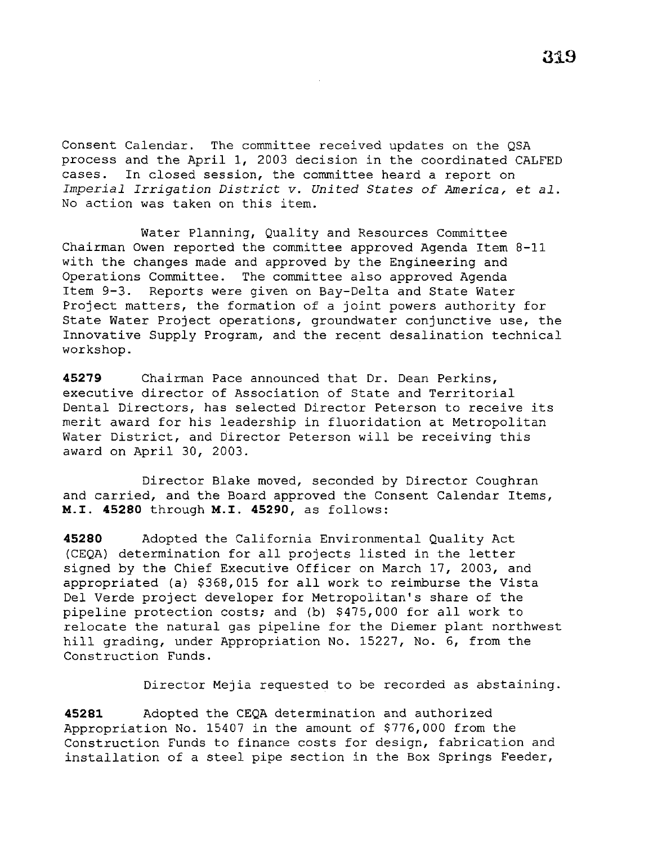Consent Calendar. The committee received updates on the QSA process and the April 1, 2003 decision in the coordinated CALFED cases. In closed session, the committee heard a report on *Imperial Irrigation District v. United States of America,* et *al.*  No action was taken on this item.

Water Planning, Quality and Resources Committee Chairman Owen reported the committee approved Agenda Item 8-11 with the changes made and approved by the Engineering and Operations Committee. The committee also approved Agenda Item 9-3. Reports were given on Bay-Delta and State Water Project matters, the formation of a joint powers authority for State Water Project operations, groundwater conjunctive use, the Innovative Supply Program, and the recent desalination technical workshop.

**45279** Chairman Pace announced that Dr. Dean Perkins, executive director of Association of State and Territorial Dental Directors, has selected Director Peterson to receive its merit award for his leadership in fluoridation at Metropolitan Water District, and Director Peterson will be receiving this award on April 30, 2003.

Director Blake moved, seconded by Director Coughran and carried, and the Board approved the Consent Calendar Items, **M.I. 45280** through **M.I. 45290,** as follows:

**45280** Adopted the California Environmental Quality Act (CEQA) determination for all projects listed in the letter signed by the Chief Executive Officer on March 17, 2003, and appropriated (a) \$368,015 for all work to reimburse the Vista Del Verde project developer for Metropolitan's share of the pipeline protection costs; and (b) \$475,000 for all work to relocate the natural gas pipeline for the Diemer plant northwest hill grading, under Appropriation No. 15227, No. 6, from the Construction Funds.

Director Mejia requested to be recorded as abstaining.

**45281** Adopted the CEQA determination and authorized Appropriation No. 15407 in the amount of \$776,000 from the Construction Funds to finance costs for design, fabrication and installation of a steel pipe section in the Box Springs Feeder,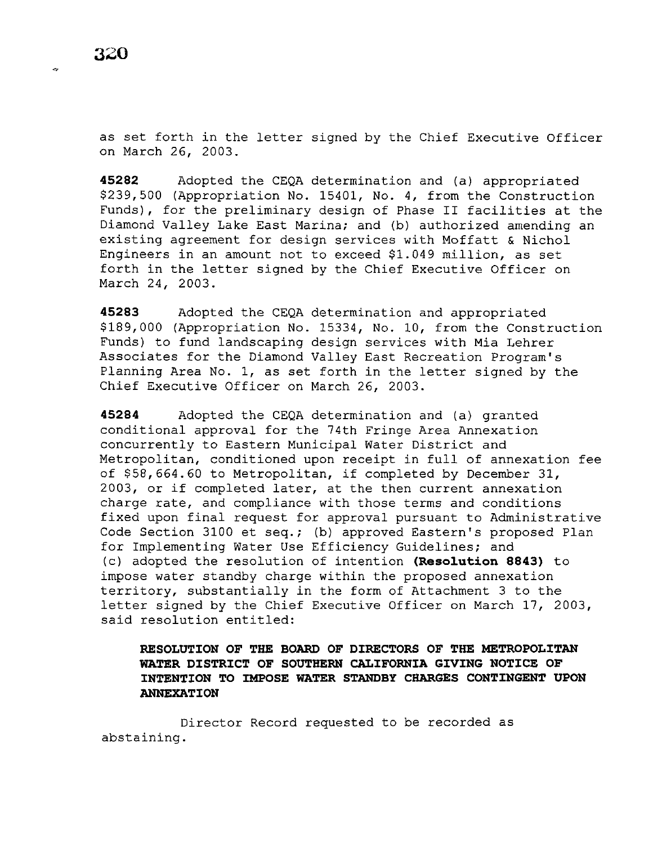Ğ.

as set forth in the letter signed by the Chief Executive Officer on March 26, 2003.

**45282** Adopted the CEQA determination and (a) appropriated \$239,500 (Appropriation No. 15401, No. 4, from the Construction Funds), for the preliminary design of Phase II facilities at the Diamond Valley Lake East Marina; and (b) authorized amending an existing agreement for design services with Moffatt & Nichol Engineers in an amount not to exceed \$1.049 million, as set forth in the letter signed by the Chief Executive Officer on March 24, 2003.

**45283** Adopted the CEQA determination and appropriated \$189,000 (Appropriation No. 15334, No. 10, from the Construction Funds) to fund landscaping design services with Mia Lehrer Associates for the Diamond Valley East Recreation Program's Planning Area No. 1, as set forth in the letter signed by the Chief Executive Officer on March 26, 2003.

**45284** Adopted the CEQA determination and (a) granted conditional approval for the 74th Fringe Area Annexation concurrently to Eastern Municipal Water District and Metropolitan, conditioned upon receipt in full of annexation fee of \$58,664.60 to Metropolitan, if completed by December 31, 2003, or if completed later, at the then current annexation charge rate, and compliance with those terms and conditions fixed upon final request for approval pursuant to Administrative Code Section 3100 et seq.; (b) approved Eastern's proposed Plan for Implementing Water Use Efficiency Guidelines; and (c) adopted the resolution of intention **(Reso1ution 8843)** to impose water standby charge within the proposed annexation territory, substantially *in* the form of Attachment 3 to the letter signed by the Chief Executive Officer on March 17, 2003, *said* resolution entitled:

# **RESOLUTION OF THE BOARD OF DIRECTORS OF THE METROPOLITAN WATER DISTRICT OF SOUTHERN CALIFORNIA GIVING NOTICE OF INTENTION TO IMPOSE WATER STANDBY CHARGES CONTINGENT UPON ANNEXATION**

Director Record requested to be recorded as abstaining.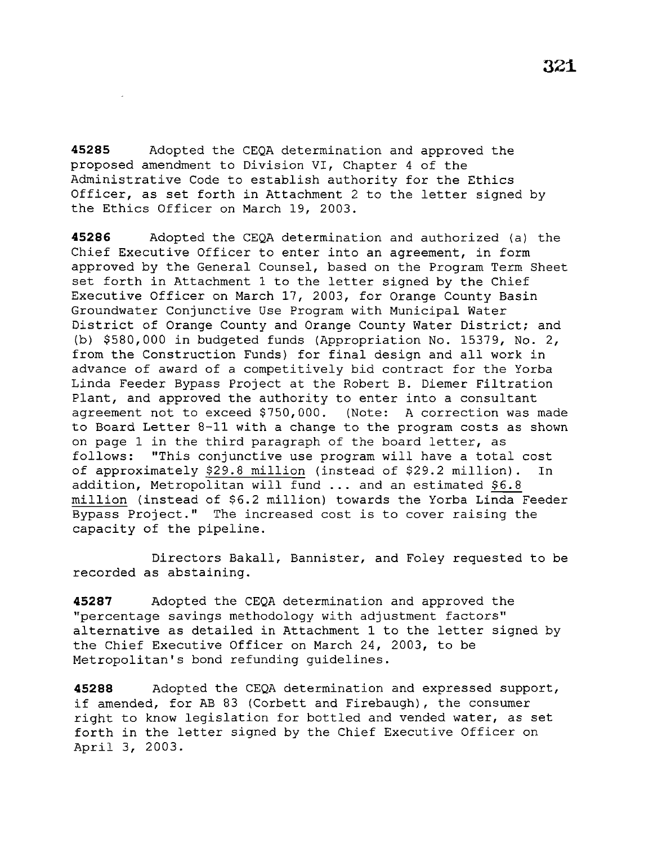**45285** Adopted the CEQA determination and approved the proposed amendment to Division VI, Chapter 4 of the Administrative Code to establish authority for the Ethics Officer, as set forth in Attachment 2 to the letter signed by the Ethics Officer on March 19, 2003.

**45286** Adopted the CEQA determination and authorized (a) the Chief Executive Officer to enter into an agreement, in form approved by the General Counsel, based on the Program Term Sheet set forth in Attachment 1 to the letter signed by the Chief Executive Officer on March 17, 2003, for Orange County Basin Groundwater Conjunctive Use Program with Municipal Water District of Orange County and Orange County Water District; and (b) \$580,000 in budgeted funds (Appropriation No. 15379, No. 2, from the Construction Funds) for final design and all work in advance of award of a competitively bid contract for the Yorba Linda Feeder Bypass Project at the Robert B. Diemer Filtration Plant, and approved the authority to enter into a consultant agreement not to exceed \$750,000. (Note: A correction was made to Board Letter 8-11 with a change to the program costs as shown on page 1 in the third paragraph of the board letter, as follows: ''This conjunctive use program will have a total cost of approximately \$29.8 million (instead of \$29.2 million). In addition, Metropolitan will fund ... and an estimated \$6.8 million (instead of \$6.2 million) towards the Yorba Linda Feeder Bypass Project.'' The increased cost is to cover raising the capacity of the pipeline.

Directors Bakall, Bannister, and Foley requested to be recorded as abstaining.

**45287** Adopted the CEQA determination and approved the "percentage savings methodology with adjustment factors" alternative as detailed in Attachment 1 to the letter signed by the Chief Executive Officer on March 24, 2003, to be Metropolitan's bond refunding guidelines.

**45288** Adopted the CEQA determination and expressed support, if amended, for AB 83 (Corbett and Firebaugh), the consumer right to know legislation for bottled and vended water, as set forth in the letter signed by the Chief Executive Officer on April 3, 2003.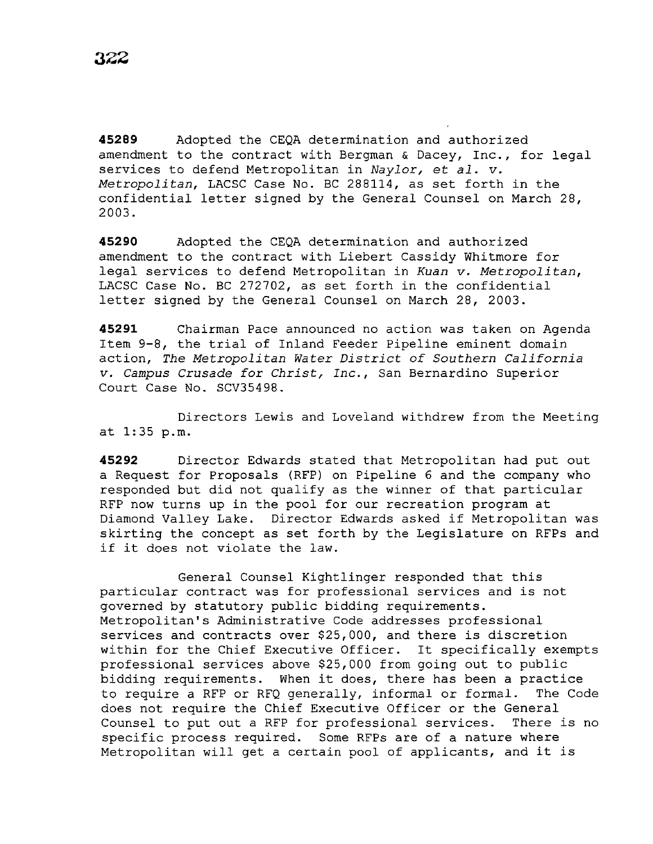**45289** Adopted the CEQA determination and authorized amendment to the contract with Bergman & Dacey, Inc., for legal services to defend Metropolitan in *Naylor,* et *al. v. Metropolitan,* LACSC Case No. BC 288114, as set forth *in* the confidential letter signed by the General Counsel on March 28, 2003.

**45290** Adopted the CEQA determination and authorized amendment to the contract with Liebert Cassidy Whitmore for legal services to defend Metropolitan in *Kuan v. Metropolitan,*  LACSC Case No. BC 272702, as set forth *in* the confidential letter signed by the General Counsel on March 28, 2003.

**45291** Chairman Pace announced no action was taken on Agenda Item 9-8, the trial of Inland Feeder Pipeline eminent domain action, *The Metropolitan Water District of Southern California v. Campus Crusade for Christ, Inc.,* San Bernardino Superior Court Case No. SCV35498.

Directors Lewis and Loveland withdrew from the Meeting at 1:35 p.m.

**45292** Director Edwards stated that Metropolitan had put out a Request for Proposals (RFP) on Pipeline 6 and the company who responded but did not qualify as the winner of that particular RFP now turns up in the pool for our recreation program at Diamond Valley Lake. Director Edwards asked if Metropolitan was skirting the concept as set forth by the Legislature on RFPs and if it does not violate the law.

General Counsel Kightlinger responded that this particular contract was for professional services and *is* not governed by statutory public bidding requirements. Metropolitan's Administrative Code addresses professional services and contracts over \$25,000, and there is discretion within for the Chief Executive Officer. It specifically exempts professional services above \$25,000 from going out to public bidding requirements. When it does, there has been a practice<br>to require a RFP or RFO generally, informal or formal. The Code to require a RFP or RFQ generally, informal or formal. does not require the Chief Executive Officer or the General Counsel to put out a RFP for professional services. There *is* no specific process required. Some RFPs are of a nature where Metropolitan will get a certain pool of applicants, and it *is*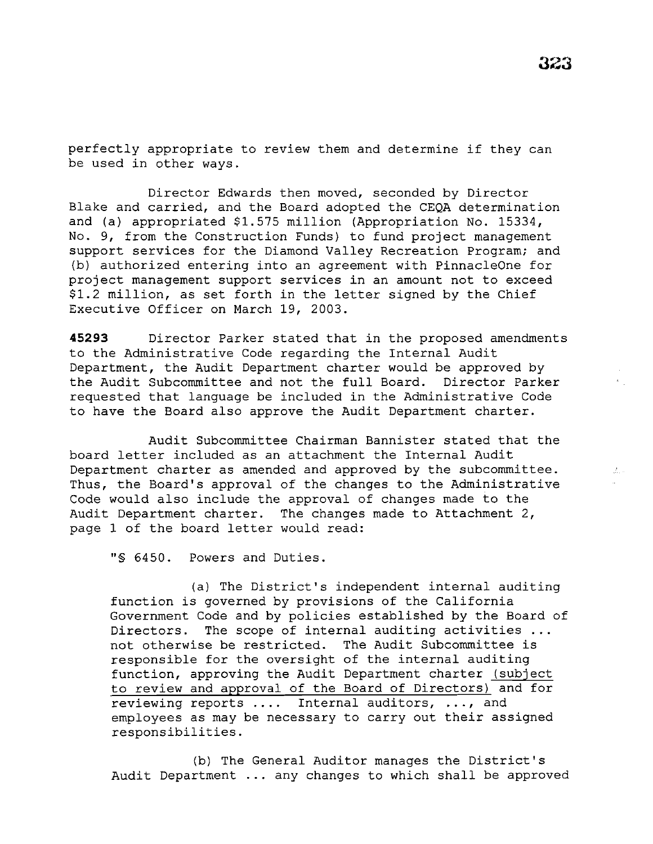perfectly appropriate to review them and determine if they can be used in other ways.

Director Edwards then moved, seconded by Director Blake and carried, and the Board adopted the CEQA determination and (a) appropriated \$1.575 million (Appropriation No. 15334, No. 9, from the Construction Funds) to fund project management support services for the Diamond Valley Recreation Program; and (b) authorized entering into an agreement with PinnacleOne for project management support services in an amount not to exceed \$1.2 million, as set forth in the letter signed by the Chief Executive Officer on March 19, 2003.

**45293** Director Parker stated that in the proposed amendments to the Administrative Code regarding the Internal Audit Department, the Audit Department charter would be approved by the Audit Subcommittee and not the full Board. Director Parker requested that language be included in the Administrative Code to have the Board also approve the Audit Department charter.

Audit Subcommittee Chairman Bannister stated that the board letter included as an attachment the Internal Audit Department charter as amended and approved by the subcommittee. Thus, the Board's approval of the changes to the Administrative Code would also include the approval of changes made to the Audit Department charter. The changes made to Attachment 2, page 1 of the board letter would read:

"§ 6450. Powers and Duties.

(a) The District's independent internal auditing function is governed by provisions of the California Government Code and by policies established by the Board of Directors. The scope of internal auditing activities ... not otherwise be restricted. The Audit Subcommittee *is*  responsible for the oversight of the internal auditing function, approving the Audit Department charter (subject to review and approval of the Board of Directors) and for reviewing reports .... Internal auditors, ..., and employees as may be necessary to carry out their assigned responsibilities.

(b) The General Auditor manages the District's Audit Department ... any changes to which shall be approved  $\mathcal{L}_{\rm{max}}$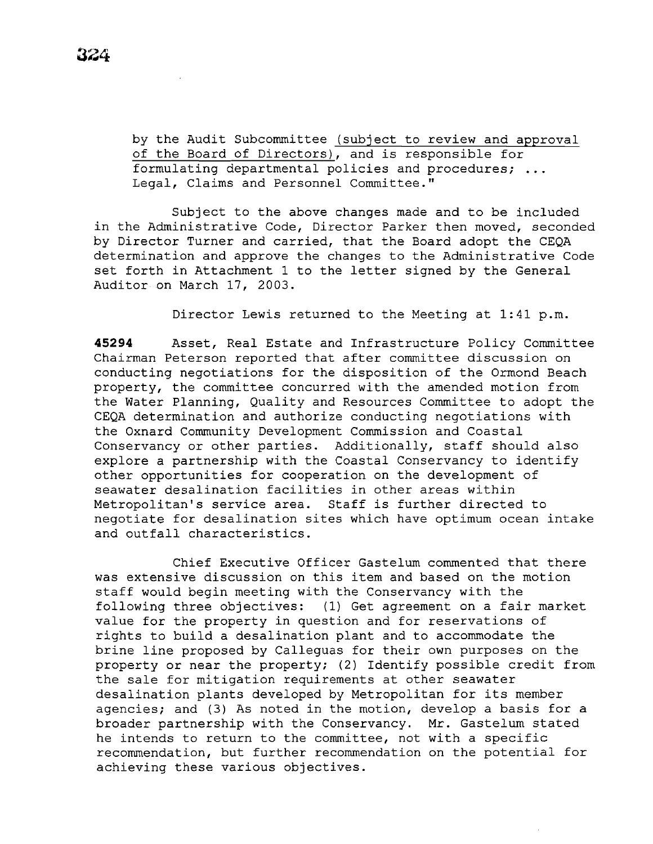by the Audit Subcommittee (subject to review and approval of the Board of Directors), and is responsible for formulating departmental policies and procedures; Legal, Claims and Personnel Committee."

Subject to the above changes made and to be included in the Administrative Code, Director Parker then moved, seconded by Director Turner and carried, that the Board adopt the CEQA determination and approve the changes to the Administrative Code set forth in Attachment 1 to the letter signed by the General Auditor on March 17, 2003.

Director Lewis returned to the Meeting at 1:41 p.m.

**45294** Asset, Real Estate and Infrastructure Policy Committee Chairman Peterson reported that after committee discussion on conducting negotiations for the disposition of the Ormond Beach property, the committee concurred with the amended motion from the Water Planning, Quality and Resources Committee to adopt the CEQA determination and authorize conducting negotiations with the Oxnard Community Development Commission and Coastal Conservancy or other parties. Additionally, staff should also explore a partnership with the Coastal Conservancy to identify other opportunities for cooperation on the development of seawater desalination facilities in other areas within Metropolitan's service area. Staff is further directed to negotiate for desalination sites which have optimum ocean intake and outfall characteristics.

Chief Executive Officer Gastelum commented that there was extensive discussion on this item and based on the motion staff would begin meeting with the Conservancy with the following three objectives: (1) Get agreement on a fair market value for the property in question and for reservations of rights to build a desalination plant and to accommodate the brine line proposed by Calleguas for their own purposes on the property or near the property; (2) Identify possible credit from the sale for mitigation requirements at other seawater desalination plants developed by Metropolitan for its member agencies; and (3) As noted in the motion, develop a basis for a broader partnership with the Conservancy. Mr. Gastelum stated he intends to return to the committee, not with a specific recommendation, but further recommendation on the potential for achieving these various objectives.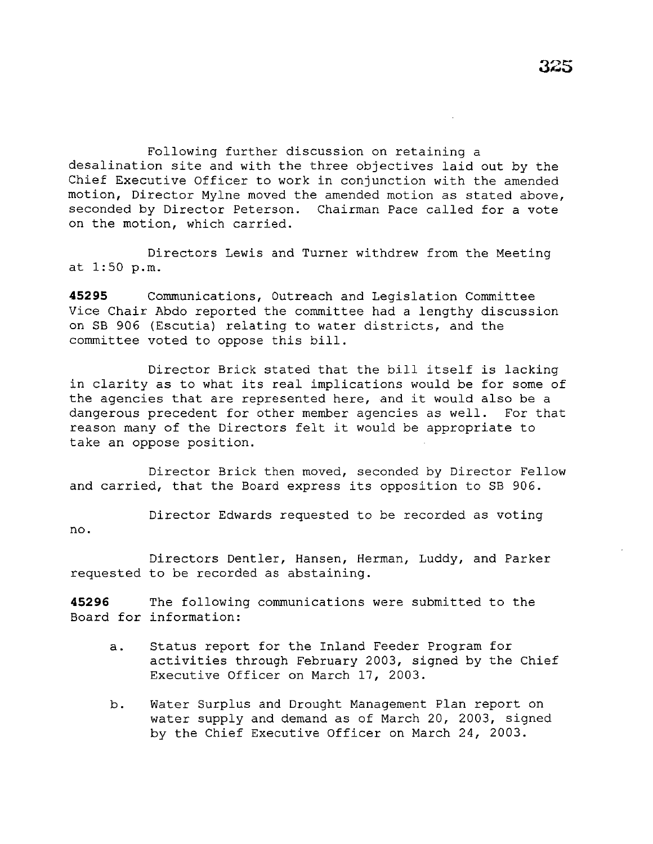Following further discussion on retaining a desalination site and with the three objectives laid out by the Chief Executive Officer to work in conjunction with the amended motion, Director Mylne moved the amended motion as stated above, seconded by Director Peterson. Chairman Pace called for a vote on the motion, which carried.

Directors Lewis and Turner withdrew from the Meeting at 1:50 p.m.

**45295** Communications, Outreach and Legislation Committee Vice Chair Abdo reported the committee had a lengthy discussion on SB 906 (Escutia) relating to water districts, and the committee voted to oppose this bill.

Director Brick stated that the bill itself is lacking in clarity as to what its real implications would be for some of the agencies that are represented here, and it would also be a dangerous precedent for other member agencies as well. For that reason many of the Directors felt it would be appropriate to take an oppose position.

Director Brick then moved, seconded by Director Fellow and carried, that the Board express its opposition to SB 906.

Director Edwards requested to be recorded as voting no.

Directors Dentler, Hansen, Herman, Luddy, and Parker requested to be recorded as abstaining.

**45296** The following communications were submitted to the Board for information:

- a. Status report for the Inland Feeder Program for activities through February 2003, signed by the Chief Executive Officer on March 17, 2003.
- b. Water Surplus and Drought Management Plan report on water supply and demand as of March 20, 2003, signed by the Chief Executive Officer on March 24, 2003.